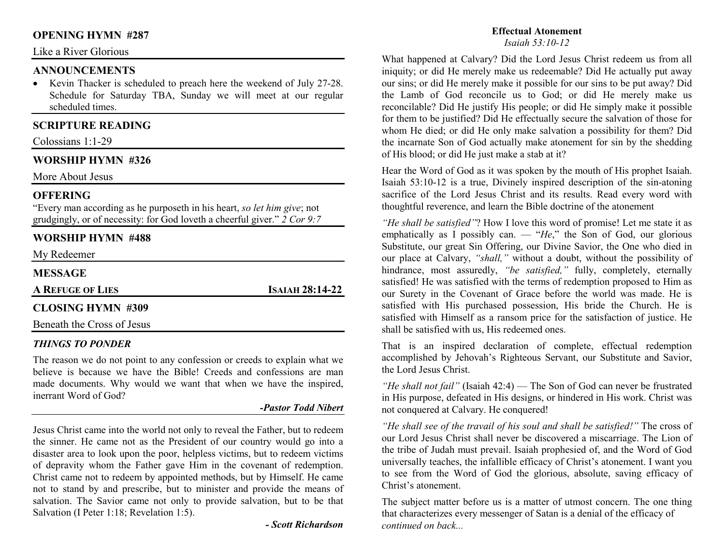# **OPENING HYMN #287**

# Like a River Glorious

## **ANNOUNCEMENTS**

 • Kevin Thacker is scheduled to preach here the weekend of July 27-28. Schedule for Saturday TBA, Sunday we will meet at our regular scheduled times.

# **SCRIPTURE READING**

Colossians 1:1-29

## **WORSHIP HYMN #326**

More About Jesus

## **OFFERING**

 "Every man according as he purposeth in his heart, *so let him give*; not grudgingly, or of necessity: for God loveth a cheerful giver." *2 Cor 9:7*

## **WORSHIP HYMN #488**

My Redeemer

## **MESSAGE**

**AREFUGE OF LIES**

**<sup>I</sup>SAIAH 28:14-22** 

## **CLOSING HYMN #309**

Beneath the Cross of Jesus

#### *THINGS TO PONDER*

 The reason we do not point to any confession or creeds to explain what we believe is because we have the Bible! Creeds and confessions are man made documents. Why would we want that when we have the inspired, inerrant Word of God?

#### *-Pastor Todd Nibert*

Jesus Christ came into the world not only to reveal the Father, but to redeem the sinner. He came not as the President of our country would go into a disaster area to look upon the poor, helpless victims, but to redeem victims of depravity whom the Father gave Him in the covenant of redemption. Christ came not to redeem by appointed methods, but by Himself. He came not to stand by and prescribe, but to minister and provide the means of salvation. The Savior came not only to provide salvation, but to be that Salvation (I Peter 1:18; Revelation 1:5).

*- Scott Richardson*

# **Effectual Atonement**

*Isaiah 53:10-12*

What happened at Calvary? Did the Lord Jesus Christ redeem us from all iniquity; or did He merely make us redeemable? Did He actually put away our sins; or did He merely make it possible for our sins to be put away? Did the Lamb of God reconcile us to God; or did He merely make us reconcilable? Did He justify His people; or did He simply make it possible for them to be justified? Did He effectually secure the salvation of those for whom He died; or did He only make salvation a possibility for them? Did the incarnate Son of God actually make atonement for sin by the shedding of His blood; or did He just make a stab at it?

Hear the Word of God as it was spoken by the mouth of His prophet Isaiah. Isaiah 53:10-12 is a true, Divinely inspired description of the sin-atoning sacrifice of the Lord Jesus Christ and its results. Read every word with thoughtful reverence, and learn the Bible doctrine of the atonement

*"He shall be satisfied"*? How I love this word of promise! Let me state it as emphatically as I possibly can. — "*He*," the Son of God, our glorious Substitute, our great Sin Offering, our Divine Savior, the One who died in our place at Calvary, *"shall,"* without a doubt, without the possibility of hindrance, most assuredly, *"be satisfied,"* fully, completely, eternally satisfied! He was satisfied with the terms of redemption proposed to Him as our Surety in the Covenant of Grace before the world was made. He is satisfied with His purchased possession, His bride the Church. He is satisfied with Himself as a ransom price for the satisfaction of justice. He shall be satisfied with us, His redeemed ones.

That is an inspired declaration of complete, effectual redemption accomplished by Jehovah's Righteous Servant, our Substitute and Savior, the Lord Jesus Christ.

*"He shall not fail"* (Isaiah 42:4) — The Son of God can never be frustrated in His purpose, defeated in His designs, or hindered in His work. Christ was not conquered at Calvary. He conquered!

*"He shall see of the travail of his soul and shall be satisfied!"* The cross of our Lord Jesus Christ shall never be discovered a miscarriage. The Lion of the tribe of Judah must prevail. Isaiah prophesied of, and the Word of God universally teaches, the infallible efficacy of Christ's atonement. I want you to see from the Word of God the glorious, absolute, saving efficacy of Christ's atonement.

The subject matter before us is a matter of utmost concern. The one thing that characterizes every messenger of Satan is a denial of the efficacy of *continued on back...*